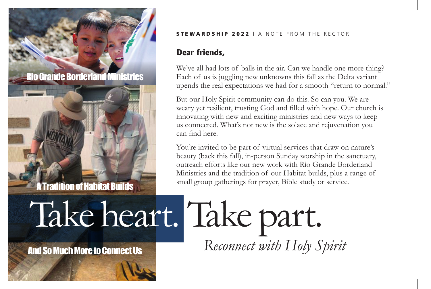o Grande Borderland Ministries

A Tradition of Habitat Builds

## STEWARD SHIP 2022 | A NOTE FROM THE RECTOR

## **Dear friends,**

We've all had lots of balls in the air. Can we handle one more thing? Each of us is juggling new unknowns this fall as the Delta variant upends the real expectations we had for a smooth "return to normal."

But our Holy Spirit community can do this. So can you. We are weary yet resilient, trusting God and filled with hope. Our church is innovating with new and exciting ministries and new ways to keep us connected. What's not new is the solace and rejuvenation you can find here.

You're invited to be part of virtual services that draw on nature's beauty (back this fall), in-person Sunday worship in the sanctuary, outreach efforts like our new work with Rio Grande Borderland Ministries and the tradition of our Habitat builds, plus a range of small group gatherings for prayer, Bible study or service.

## And So Much More to Connect Us Take heart. Take part. *Reconnect with Holy Spirit*